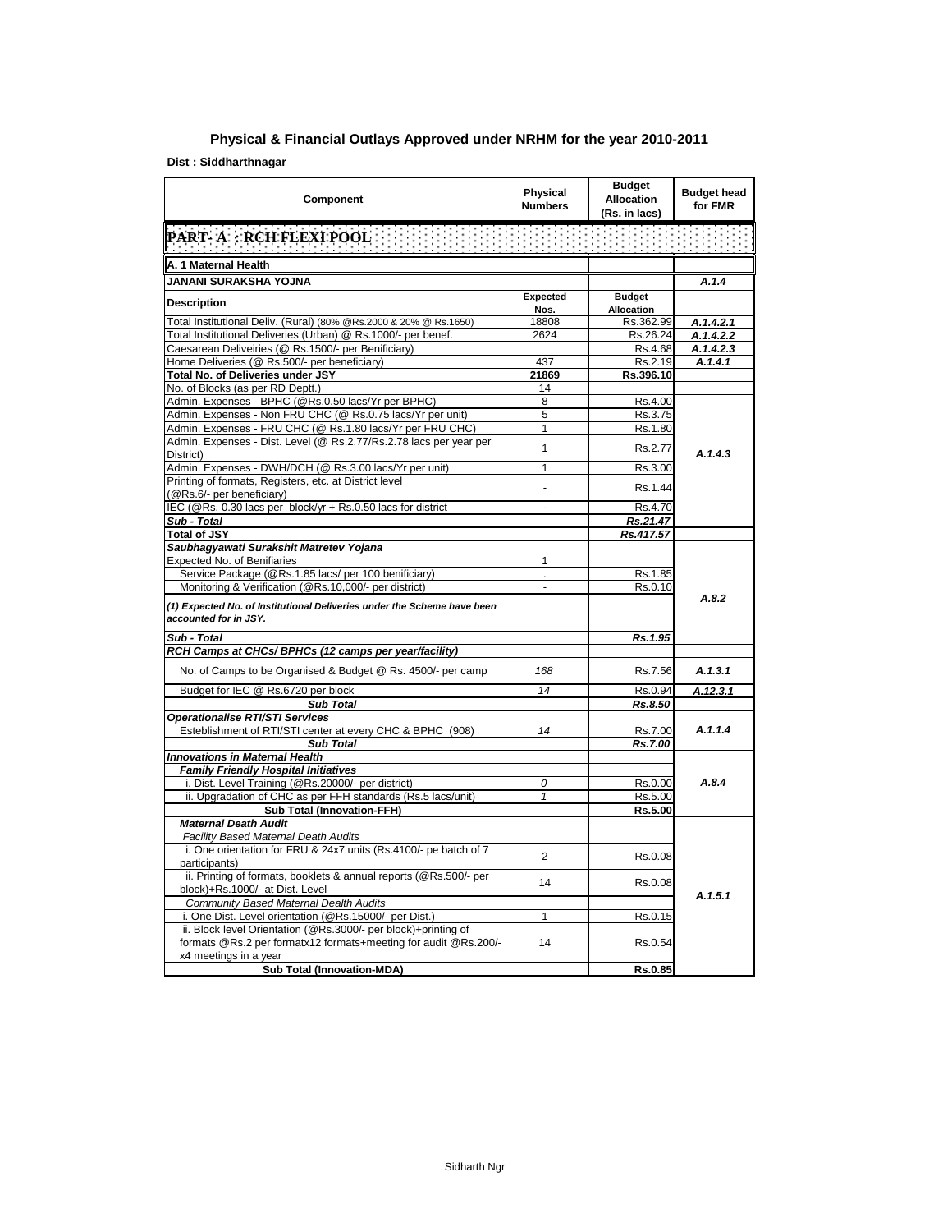## **Physical & Financial Outlays Approved under NRHM for the year 2010-2011**

## **Dist : Siddharthnagar**

| Component                                                                                                                         | Physical<br><b>Numbers</b> | <b>Budget</b><br><b>Allocation</b><br>(Rs. in lacs) | <b>Budget head</b><br>for FMR |
|-----------------------------------------------------------------------------------------------------------------------------------|----------------------------|-----------------------------------------------------|-------------------------------|
| <b>PART A PROFILEXPOOR</b> HEELEN HEELEN HEELEN HEELEN HEELEN                                                                     |                            |                                                     |                               |
| A. 1 Maternal Health                                                                                                              |                            |                                                     |                               |
| JANANI SURAKSHA YOJNA                                                                                                             |                            |                                                     | A.1.4                         |
| <b>Description</b>                                                                                                                | Expected<br>Nos.           | <b>Budget</b><br><b>Allocation</b>                  |                               |
| Total Institutional Deliv. (Rural) (80% @Rs.2000 & 20% @ Rs.1650)                                                                 | 18808                      | Rs.362.99                                           | A.1.4.2.1                     |
| Total Institutional Deliveries (Urban) @ Rs.1000/- per benef.                                                                     | 2624                       | Rs.26.24                                            | A.1.4.2.2                     |
| Caesarean Deliveiries (@ Rs.1500/- per Benificiary)                                                                               |                            | Rs.4.68                                             | A.1.4.2.3                     |
| Home Deliveries (@ Rs.500/- per beneficiary)                                                                                      | 437                        | Rs.2.19                                             | A.1.4.1                       |
| Total No. of Deliveries under JSY                                                                                                 | 21869                      | Rs.396.10                                           |                               |
| No. of Blocks (as per RD Deptt.)                                                                                                  | 14                         |                                                     |                               |
| Admin. Expenses - BPHC (@Rs.0.50 lacs/Yr per BPHC)                                                                                | 8                          | Rs.4.00                                             |                               |
| Admin. Expenses - Non FRU CHC (@ Rs.0.75 lacs/Yr per unit)                                                                        | 5                          | Rs.3.75                                             |                               |
| Admin. Expenses - FRU CHC (@ Rs.1.80 lacs/Yr per FRU CHC)                                                                         | 1                          | Rs.1.80                                             |                               |
| Admin. Expenses - Dist. Level (@ Rs.2.77/Rs.2.78 lacs per year per<br>District)                                                   | 1                          | Rs.2.77                                             | A.1.4.3                       |
| Admin. Expenses - DWH/DCH (@ Rs.3.00 lacs/Yr per unit)                                                                            | 1                          | Rs.3.00                                             |                               |
| Printing of formats, Registers, etc. at District level<br>(@Rs.6/- per beneficiary)                                               | $\overline{a}$             | Rs.1.44                                             |                               |
| IEC (@Rs. 0.30 lacs per block/yr + Rs.0.50 lacs for district                                                                      | $\blacksquare$             | Rs.4.70                                             |                               |
| Sub - Total                                                                                                                       |                            | Rs.21.47                                            |                               |
| <b>Total of JSY</b>                                                                                                               |                            | Rs.417.57                                           |                               |
| Saubhagyawati Surakshit Matretev Yojana<br>Expected No. of Benifiaries                                                            | 1                          |                                                     |                               |
| Service Package (@Rs.1.85 lacs/ per 100 benificiary)                                                                              |                            | Rs.1.85                                             |                               |
| Monitoring & Verification (@Rs.10,000/- per district)                                                                             | $\blacksquare$             | Rs.0.10                                             |                               |
| (1) Expected No. of Institutional Deliveries under the Scheme have been<br>accounted for in JSY.                                  |                            |                                                     | A.8.2                         |
| Sub - Total                                                                                                                       |                            | Rs.1.95                                             |                               |
| RCH Camps at CHCs/ BPHCs (12 camps per year/facility)                                                                             |                            |                                                     |                               |
| No. of Camps to be Organised & Budget @ Rs. 4500/- per camp                                                                       | 168                        | Rs.7.56                                             | A.1.3.1                       |
| Budget for IEC @ Rs.6720 per block                                                                                                | 14                         | Rs.0.94                                             | A.12.3.1                      |
| <b>Sub Total</b>                                                                                                                  |                            | Rs.8.50                                             |                               |
| <b>Operationalise RTI/STI Services</b>                                                                                            |                            |                                                     |                               |
| Esteblishment of RTI/STI center at every CHC & BPHC (908)                                                                         | 14                         | Rs.7.00                                             | A.1.1.4                       |
| <b>Sub Total</b>                                                                                                                  |                            | Rs.7.00                                             |                               |
| <b>Innovations in Maternal Health</b>                                                                                             |                            |                                                     |                               |
| <b>Family Friendly Hospital Initiatives</b>                                                                                       | $\theta$                   | Rs.0.00                                             | A.8.4                         |
| i. Dist. Level Training (@Rs.20000/- per district)<br>ii. Upgradation of CHC as per FFH standards (Rs.5 lacs/unit)                | 1                          | Rs.5.00                                             |                               |
| <b>Sub Total (Innovation-FFH)</b>                                                                                                 |                            | Rs.5.00                                             |                               |
| <b>Maternal Death Audit</b>                                                                                                       |                            |                                                     |                               |
| <b>Facility Based Maternal Death Audits</b>                                                                                       |                            |                                                     |                               |
| i. One orientation for FRU & 24x7 units (Rs.4100/- pe batch of 7<br>participants)                                                 | 2                          | Rs.0.08                                             |                               |
| ii. Printing of formats, booklets & annual reports (@Rs.500/- per<br>block)+Rs.1000/- at Dist. Level                              | 14                         | Rs.0.08                                             |                               |
| Community Based Maternal Dealth Audits                                                                                            |                            |                                                     | A.1.5.1                       |
| i. One Dist. Level orientation (@Rs.15000/- per Dist.)                                                                            | 1                          | Rs.0.15                                             |                               |
| ii. Block level Orientation (@Rs.3000/- per block)+printing of<br>formats @Rs.2 per formatx12 formats+meeting for audit @Rs.200/- | 14                         | Rs.0.54                                             |                               |
| x4 meetings in a year<br><b>Sub Total (Innovation-MDA)</b>                                                                        |                            | Rs.0.85                                             |                               |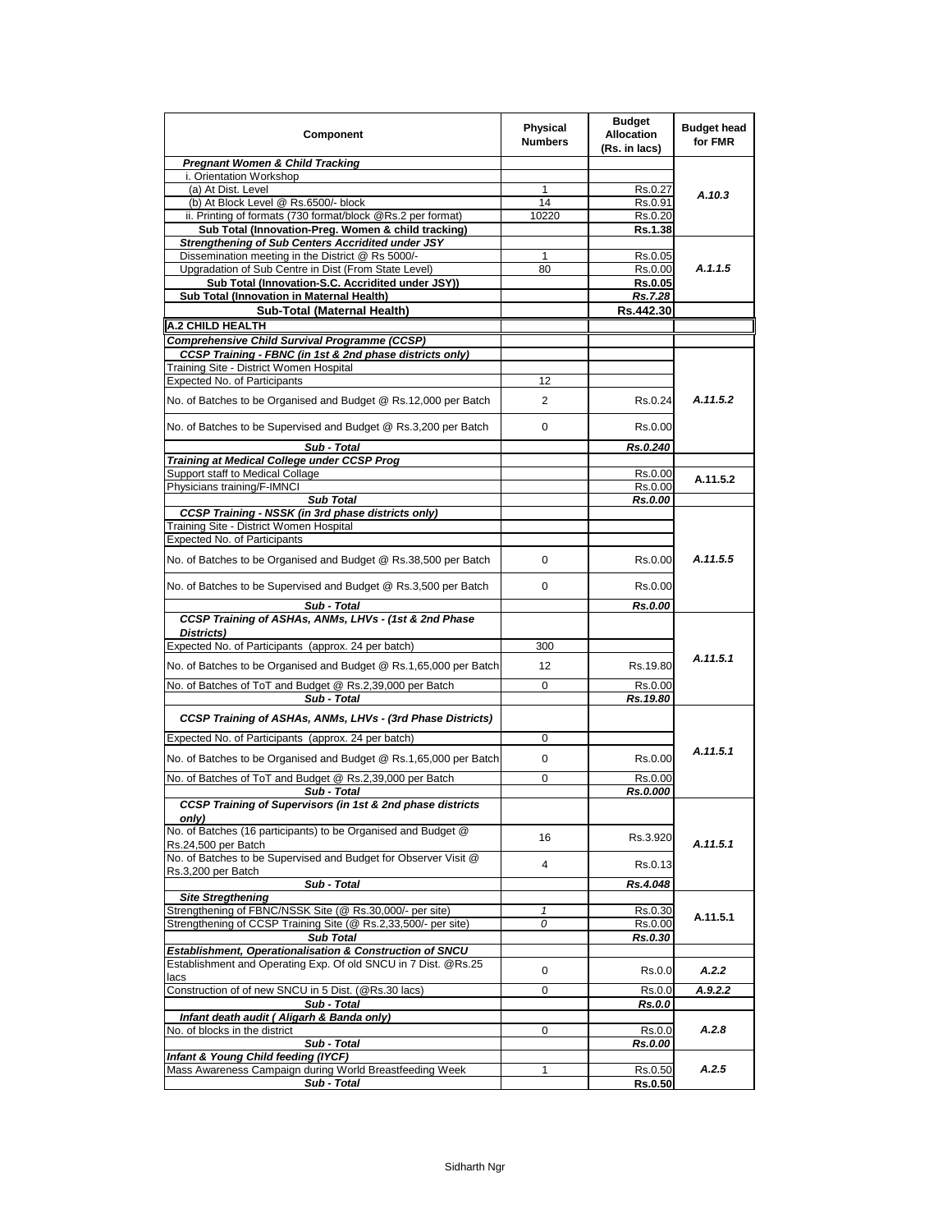| <b>Component</b>                                                                                                           | Physical<br><b>Numbers</b> | <b>Budget</b><br><b>Allocation</b><br>(Rs. in lacs) | <b>Budget head</b><br>for FMR |
|----------------------------------------------------------------------------------------------------------------------------|----------------------------|-----------------------------------------------------|-------------------------------|
| Pregnant Women & Child Tracking                                                                                            |                            |                                                     |                               |
| i. Orientation Workshop<br>(a) At Dist. Level                                                                              |                            |                                                     |                               |
| (b) At Block Level @ Rs.6500/- block                                                                                       | 1<br>14                    | Rs.0.27<br>Rs.0.91                                  | A.10.3                        |
| ii. Printing of formats (730 format/block @Rs.2 per format)                                                                | 10220                      | Rs.0.20                                             |                               |
| Sub Total (Innovation-Preg. Women & child tracking)                                                                        |                            | Rs.1.38                                             |                               |
| <b>Strengthening of Sub Centers Accridited under JSY</b>                                                                   |                            |                                                     |                               |
| Dissemination meeting in the District @ Rs 5000/-                                                                          | 1                          | Rs.0.05                                             |                               |
| Upgradation of Sub Centre in Dist (From State Level)                                                                       | 80                         | Rs.0.00                                             | A.1.1.5                       |
| Sub Total (Innovation-S.C. Accridited under JSY))<br>Sub Total (Innovation in Maternal Health)                             |                            | Rs.0.05<br>Rs.7.28                                  |                               |
| Sub-Total (Maternal Health)                                                                                                |                            | Rs.442.30                                           |                               |
| <b>A.2 CHILD HEALTH</b>                                                                                                    |                            |                                                     |                               |
| Comprehensive Child Survival Programme (CCSP)                                                                              |                            |                                                     |                               |
| CCSP Training - FBNC (in 1st & 2nd phase districts only)                                                                   |                            |                                                     |                               |
| Training Site - District Women Hospital                                                                                    |                            |                                                     |                               |
| Expected No. of Participants                                                                                               | 12                         |                                                     |                               |
| No. of Batches to be Organised and Budget @ Rs.12,000 per Batch                                                            | 2                          | Rs.0.24                                             | A.11.5.2                      |
| No. of Batches to be Supervised and Budget @ Rs.3,200 per Batch                                                            | 0                          | Rs.0.00                                             |                               |
| Sub - Total                                                                                                                |                            | Rs.0.240                                            |                               |
| Training at Medical College under CCSP Prog                                                                                |                            |                                                     |                               |
| Support staff to Medical Collage<br>Physicians training/F-IMNCI                                                            |                            | Rs.0.00<br>Rs.0.00                                  | A.11.5.2                      |
| <b>Sub Total</b>                                                                                                           |                            | Rs.0.00                                             |                               |
| CCSP Training - NSSK (in 3rd phase districts only)                                                                         |                            |                                                     |                               |
| Training Site - District Women Hospital                                                                                    |                            |                                                     |                               |
| Expected No. of Participants                                                                                               |                            |                                                     |                               |
| No. of Batches to be Organised and Budget @ Rs.38,500 per Batch                                                            | 0                          | Rs.0.00                                             | A.11.5.5                      |
| No. of Batches to be Supervised and Budget @ Rs.3,500 per Batch                                                            | 0                          | Rs.0.00                                             |                               |
| Sub - Total<br>CCSP Training of ASHAs, ANMs, LHVs - (1st & 2nd Phase                                                       |                            | Rs.0.00                                             |                               |
| Districts)<br>Expected No. of Participants (approx. 24 per batch)                                                          | 300                        |                                                     |                               |
|                                                                                                                            |                            |                                                     | A.11.5.1                      |
| No. of Batches to be Organised and Budget @ Rs.1,65,000 per Batch                                                          | $12 \overline{ }$          | Rs.19.80                                            |                               |
| No. of Batches of ToT and Budget @ Rs.2,39,000 per Batch<br>Sub - Total                                                    | 0                          | Rs.0.00<br>Rs.19.80                                 |                               |
| CCSP Training of ASHAs, ANMs, LHVs - (3rd Phase Districts)                                                                 |                            |                                                     |                               |
| Expected No. of Participants (approx. 24 per batch)                                                                        | 0                          |                                                     |                               |
| No. of Batches to be Organised and Budget @ Rs.1,65,000 per Batch                                                          | 0                          | Rs.0.00                                             | A.11.5.1                      |
| No. of Batches of ToT and Budget @ Rs.2,39,000 per Batch                                                                   | 0                          | Rs.0.00                                             |                               |
| Sub - Total<br>CCSP Training of Supervisors (in 1st & 2nd phase districts                                                  |                            | Rs.0.000                                            |                               |
| only)                                                                                                                      |                            |                                                     |                               |
| No. of Batches (16 participants) to be Organised and Budget @<br>Rs.24,500 per Batch                                       | 16                         | Rs.3.920                                            | A.11.5.1                      |
| No. of Batches to be Supervised and Budget for Observer Visit @<br>Rs.3,200 per Batch                                      | 4                          | Rs.0.13                                             |                               |
| Sub - Total                                                                                                                |                            | Rs.4.048                                            |                               |
| <b>Site Stregthening</b>                                                                                                   |                            |                                                     |                               |
| Strengthening of FBNC/NSSK Site (@ Rs.30,000/- per site)<br>Strengthening of CCSP Training Site (@ Rs.2,33,500/- per site) | $\mathbf{1}$<br>0          | Rs.0.30<br>Rs.0.00                                  | A.11.5.1                      |
| <b>Sub Total</b>                                                                                                           |                            | Rs.0.30                                             |                               |
| Establishment, Operationalisation & Construction of SNCU                                                                   |                            |                                                     |                               |
| Establishment and Operating Exp. Of old SNCU in 7 Dist. @Rs.25<br>lacs                                                     | 0                          | Rs.0.0                                              | A.2.2                         |
| Construction of of new SNCU in 5 Dist. (@Rs.30 lacs)                                                                       | 0                          | Rs.0.0                                              | A.9.2.2                       |
| Sub - Total                                                                                                                |                            | Rs.0.0                                              |                               |
| Infant death audit (Aligarh & Banda only)                                                                                  |                            |                                                     |                               |
| No. of blocks in the district                                                                                              | 0                          | Rs.0.0                                              | A.2.8                         |
| Sub - Total<br>Infant & Young Child feeding (IYCF)                                                                         |                            | Rs.0.00                                             |                               |
| Mass Awareness Campaign during World Breastfeeding Week                                                                    | 1                          | Rs.0.50                                             | A.2.5                         |
| Sub - Total                                                                                                                |                            | <b>Rs.0.50</b>                                      |                               |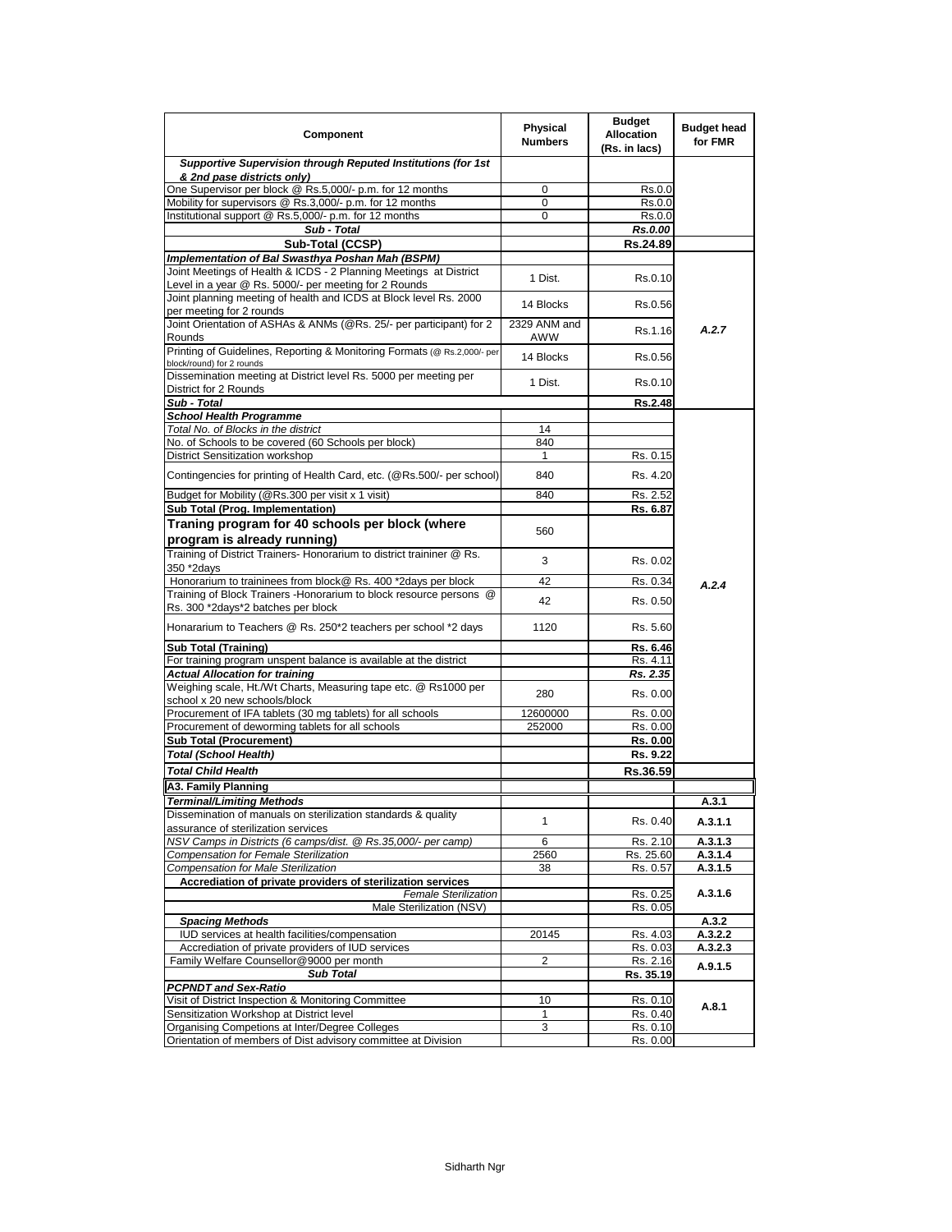| Component                                                                                                                  | <b>Physical</b><br><b>Numbers</b> | <b>Budget</b><br><b>Allocation</b><br>(Rs. in lacs) | <b>Budget head</b><br>for FMR |
|----------------------------------------------------------------------------------------------------------------------------|-----------------------------------|-----------------------------------------------------|-------------------------------|
| Supportive Supervision through Reputed Institutions (for 1st<br>& 2nd pase districts only)                                 |                                   |                                                     |                               |
| One Supervisor per block @ Rs.5,000/- p.m. for 12 months                                                                   | 0                                 | Rs.0.0                                              |                               |
| Mobility for supervisors @ Rs.3,000/- p.m. for 12 months                                                                   | 0                                 | Rs.0.0                                              |                               |
| Institutional support @ Rs.5,000/- p.m. for 12 months                                                                      | 0                                 | Rs.0.0                                              |                               |
| Sub - Total                                                                                                                |                                   | Rs.0.00                                             |                               |
| Sub-Total (CCSP)                                                                                                           |                                   | Rs.24.89                                            |                               |
| Implementation of Bal Swasthya Poshan Mah (BSPM)                                                                           |                                   |                                                     |                               |
| Joint Meetings of Health & ICDS - 2 Planning Meetings at District<br>Level in a year @ Rs. 5000/- per meeting for 2 Rounds | 1 Dist.                           | Rs.0.10                                             |                               |
| Joint planning meeting of health and ICDS at Block level Rs. 2000<br>per meeting for 2 rounds                              | 14 Blocks                         | Rs.0.56                                             |                               |
| Joint Orientation of ASHAs & ANMs (@Rs. 25/- per participant) for 2<br>Rounds                                              | 2329 ANM and<br>AWW               | Rs.1.16                                             | A.2.7                         |
| Printing of Guidelines, Reporting & Monitoring Formats (@ Rs.2,000/- per<br>block/round) for 2 rounds                      | 14 Blocks                         | Rs.0.56                                             |                               |
| Dissemination meeting at District level Rs. 5000 per meeting per<br>District for 2 Rounds                                  | 1 Dist.                           | Rs.0.10                                             |                               |
| Sub - Total                                                                                                                |                                   | Rs.2.48                                             |                               |
| <b>School Health Programme</b>                                                                                             |                                   |                                                     |                               |
| Total No. of Blocks in the district                                                                                        | 14                                |                                                     |                               |
| No. of Schools to be covered (60 Schools per block)                                                                        | 840                               |                                                     |                               |
| <b>District Sensitization workshop</b>                                                                                     | 1                                 | Rs. 0.15                                            |                               |
| Contingencies for printing of Health Card, etc. (@Rs.500/- per school)                                                     | 840                               | Rs. 4.20                                            |                               |
| Budget for Mobility (@Rs.300 per visit x 1 visit)<br>Sub Total (Prog. Implementation)                                      | 840                               | Rs. 2.52                                            |                               |
|                                                                                                                            |                                   | Rs. 6.87                                            |                               |
| Traning program for 40 schools per block (where<br>program is already running)                                             | 560                               |                                                     |                               |
| Training of District Trainers- Honorarium to district traininer @ Rs.<br>350 *2days                                        | 3                                 | Rs. 0.02                                            |                               |
| Honorarium to traininees from block@ Rs. 400 *2days per block                                                              | 42                                | Rs. 0.34                                            | A.2.4                         |
| Training of Block Trainers - Honorarium to block resource persons @<br>Rs. 300 *2days*2 batches per block                  | 42                                | Rs. 0.50                                            |                               |
| Honararium to Teachers @ Rs. 250*2 teachers per school *2 days                                                             | 1120                              | Rs. 5.60                                            |                               |
| <b>Sub Total (Training)</b>                                                                                                |                                   | Rs. 6.46                                            |                               |
| For training program unspent balance is available at the district                                                          |                                   | Rs. 4.11                                            |                               |
| <b>Actual Allocation for training</b>                                                                                      |                                   | Rs. 2.35                                            |                               |
| Weighing scale, Ht./Wt Charts, Measuring tape etc. @ Rs1000 per<br>school x 20 new schools/block                           | 280                               | Rs. 0.00                                            |                               |
| Procurement of IFA tablets (30 mg tablets) for all schools                                                                 | 12600000                          | Rs. 0.00                                            |                               |
| Procurement of deworming tablets for all schools                                                                           | 252000                            | Rs. 0.00                                            |                               |
| <b>Sub Total (Procurement)</b>                                                                                             |                                   | Rs. 0.00                                            |                               |
| Total (School Health)                                                                                                      |                                   | Rs. 9.22                                            |                               |
| <b>Total Child Health</b>                                                                                                  |                                   | Rs.36.59                                            |                               |
| A3. Family Planning                                                                                                        |                                   |                                                     |                               |
| <b>Terminal/Limiting Methods</b>                                                                                           |                                   |                                                     | A.3.1                         |
| Dissemination of manuals on sterilization standards & quality<br>assurance of sterilization services                       | 1                                 | Rs. 0.40                                            | A.3.1.1                       |
| NSV Camps in Districts (6 camps/dist. @ Rs.35,000/- per camp)                                                              | 6                                 | Rs. 2.10                                            | A.3.1.3                       |
| Compensation for Female Sterilization                                                                                      | 2560                              | Rs. 25.60                                           | A.3.1.4                       |
| Compensation for Male Sterilization                                                                                        | 38                                | Rs. 0.57                                            | A.3.1.5                       |
| Accrediation of private providers of sterilization services                                                                |                                   |                                                     |                               |
| Female Sterilization<br>Male Sterilization (NSV)                                                                           |                                   | Rs. 0.25<br>Rs. 0.05                                | A.3.1.6                       |
| <b>Spacing Methods</b>                                                                                                     |                                   |                                                     | A.3.2                         |
| IUD services at health facilities/compensation                                                                             | 20145                             | Rs. 4.03                                            | A.3.2.2                       |
| Accrediation of private providers of IUD services                                                                          |                                   | Rs. 0.03                                            | A.3.2.3                       |
| Family Welfare Counsellor@9000 per month                                                                                   | 2                                 | Rs. 2.16                                            | A.9.1.5                       |
| <b>Sub Total</b>                                                                                                           |                                   | Rs. 35.19                                           |                               |
| PCPNDT and Sex-Ratio<br>Visit of District Inspection & Monitoring Committee                                                |                                   |                                                     |                               |
| Sensitization Workshop at District level                                                                                   | 10<br>$\mathbf{1}$                | Rs. 0.10<br>Rs. 0.40                                | A.8.1                         |
| Organising Competions at Inter/Degree Colleges                                                                             | 3                                 | Rs. 0.10                                            |                               |
| Orientation of members of Dist advisory committee at Division                                                              |                                   | Rs. 0.00                                            |                               |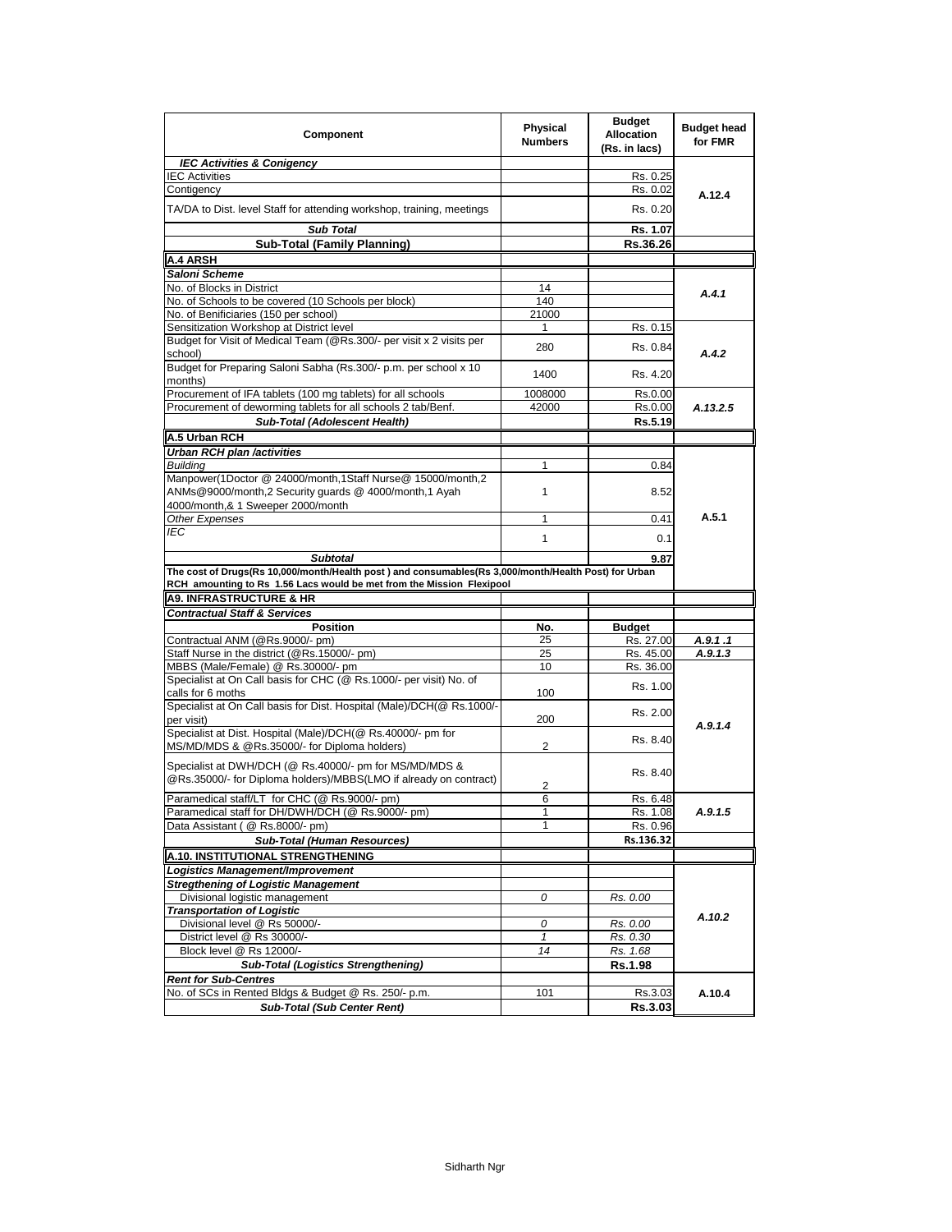| Component                                                                                                                                              | <b>Physical</b><br><b>Numbers</b> | <b>Budget</b><br><b>Allocation</b><br>(Rs. in lacs) | <b>Budget head</b><br>for FMR |  |  |
|--------------------------------------------------------------------------------------------------------------------------------------------------------|-----------------------------------|-----------------------------------------------------|-------------------------------|--|--|
| <b>IEC Activities &amp; Conigency</b>                                                                                                                  |                                   |                                                     |                               |  |  |
| <b>IEC Activities</b>                                                                                                                                  |                                   | Rs. 0.25                                            |                               |  |  |
| Contigency                                                                                                                                             |                                   | Rs. 0.02                                            | A.12.4                        |  |  |
| TA/DA to Dist. level Staff for attending workshop, training, meetings                                                                                  |                                   | Rs. 0.20                                            |                               |  |  |
| <b>Sub Total</b>                                                                                                                                       |                                   | Rs. 1.07                                            |                               |  |  |
| Sub-Total (Family Planning)                                                                                                                            |                                   | Rs.36.26                                            |                               |  |  |
| <b>A.4 ARSH</b>                                                                                                                                        |                                   |                                                     |                               |  |  |
| Saloni Scheme                                                                                                                                          |                                   |                                                     |                               |  |  |
| No. of Blocks in District                                                                                                                              | 14                                |                                                     | A.4.1                         |  |  |
| No. of Schools to be covered (10 Schools per block)                                                                                                    | 140                               |                                                     |                               |  |  |
| No. of Benificiaries (150 per school)                                                                                                                  | 21000                             |                                                     |                               |  |  |
| Sensitization Workshop at District level                                                                                                               | 1                                 | Rs. 0.15                                            |                               |  |  |
| Budget for Visit of Medical Team (@Rs.300/- per visit x 2 visits per<br>school)                                                                        | 280                               | Rs. 0.84                                            | A.4.2                         |  |  |
| Budget for Preparing Saloni Sabha (Rs.300/- p.m. per school x 10<br>months)                                                                            | 1400                              | Rs. 4.20                                            |                               |  |  |
| Procurement of IFA tablets (100 mg tablets) for all schools                                                                                            | 1008000                           | Rs.0.00                                             |                               |  |  |
| Procurement of deworming tablets for all schools 2 tab/Benf.                                                                                           | 42000                             | Rs.0.00                                             | A.13.2.5                      |  |  |
| Sub-Total (Adolescent Health)                                                                                                                          |                                   | Rs.5.19                                             |                               |  |  |
| A.5 Urban RCH                                                                                                                                          |                                   |                                                     |                               |  |  |
|                                                                                                                                                        |                                   |                                                     |                               |  |  |
| Urban RCH plan /activities                                                                                                                             |                                   |                                                     |                               |  |  |
| <b>Building</b><br>Manpower(1Doctor @ 24000/month,1Staff Nurse@ 15000/month,2                                                                          | 1                                 | 0.84                                                |                               |  |  |
| ANMs@9000/month,2 Security guards @ 4000/month,1 Ayah                                                                                                  | $\mathbf{1}$                      | 8.52                                                |                               |  |  |
| 4000/month.& 1 Sweeper 2000/month                                                                                                                      |                                   |                                                     | A.5.1                         |  |  |
| Other Expenses                                                                                                                                         | 1                                 | 0.41                                                |                               |  |  |
| <b>IEC</b><br><b>Subtotal</b>                                                                                                                          | $\mathbf{1}$                      | 0.1                                                 |                               |  |  |
| RCH amounting to Rs 1.56 Lacs would be met from the Mission Flexipool<br><b>A9. INFRASTRUCTURE &amp; HR</b><br><b>Contractual Staff &amp; Services</b> |                                   |                                                     |                               |  |  |
| <b>Position</b>                                                                                                                                        | No.                               | <b>Budget</b>                                       |                               |  |  |
| Contractual ANM (@Rs.9000/- pm)                                                                                                                        | 25                                | Rs. 27.00                                           | A.9.1 .1                      |  |  |
| Staff Nurse in the district (@Rs.15000/- pm)                                                                                                           | 25                                | Rs. 45.00                                           | A.9.1.3                       |  |  |
| MBBS (Male/Female) @ Rs.30000/- pm                                                                                                                     | 10                                | Rs. 36.00                                           |                               |  |  |
| Specialist at On Call basis for CHC (@ Rs.1000/- per visit) No. of<br>calls for 6 moths                                                                | 100                               | Rs. 1.00                                            |                               |  |  |
| Specialist at On Call basis for Dist. Hospital (Male)/DCH(@ Rs.1000/-<br>per visit)                                                                    | 200                               | Rs. 2.00                                            |                               |  |  |
| Specialist at Dist. Hospital (Male)/DCH(@ Rs.40000/- pm for                                                                                            |                                   |                                                     | A.9.1.4                       |  |  |
| MS/MD/MDS & @Rs.35000/- for Diploma holders)                                                                                                           | $\overline{2}$                    | Rs. 8.40                                            |                               |  |  |
| Specialist at DWH/DCH (@ Rs.40000/- pm for MS/MD/MDS &<br>@Rs.35000/- for Diploma holders)/MBBS(LMO if already on contract)                            | 2                                 | Rs. 8.40                                            |                               |  |  |
| Paramedical staff/LT for CHC (@ Rs.9000/- pm)                                                                                                          | 6                                 | Rs. 6.48                                            |                               |  |  |
| Paramedical staff for DH/DWH/DCH (@ Rs.9000/- pm)                                                                                                      | 1                                 | Rs. 1.08                                            | A.9.1.5                       |  |  |
| Data Assistant ( @ Rs.8000/- pm)                                                                                                                       | 1                                 | Rs. 0.96                                            |                               |  |  |
| <b>Sub-Total (Human Resources)</b>                                                                                                                     |                                   | Rs.136.32                                           |                               |  |  |
| A.10. INSTITUTIONAL STRENGTHENING                                                                                                                      |                                   |                                                     |                               |  |  |
| Logistics Management/Improvement                                                                                                                       |                                   |                                                     |                               |  |  |
| <b>Stregthening of Logistic Management</b>                                                                                                             |                                   |                                                     |                               |  |  |
| Divisional logistic management                                                                                                                         | 0                                 | Rs. 0.00                                            |                               |  |  |
| <b>Transportation of Logistic</b>                                                                                                                      |                                   |                                                     |                               |  |  |
| Divisional level @ Rs 50000/-                                                                                                                          | 0                                 | Rs. 0.00                                            | A.10.2                        |  |  |
| District level @ Rs 30000/-                                                                                                                            | $\mathbf{1}$                      | Rs. 0.30                                            |                               |  |  |
| Block level @ Rs 12000/-                                                                                                                               | 14                                | Rs. 1.68                                            |                               |  |  |
| <b>Sub-Total (Logistics Strengthening)</b>                                                                                                             |                                   | <b>Rs.1.98</b>                                      |                               |  |  |
| <b>Rent for Sub-Centres</b>                                                                                                                            |                                   |                                                     |                               |  |  |
| No. of SCs in Rented Bldgs & Budget @ Rs. 250/- p.m.                                                                                                   | 101                               | Rs.3.03                                             | A.10.4                        |  |  |
| <b>Sub-Total (Sub Center Rent)</b>                                                                                                                     |                                   | Rs.3.03                                             |                               |  |  |
|                                                                                                                                                        |                                   |                                                     |                               |  |  |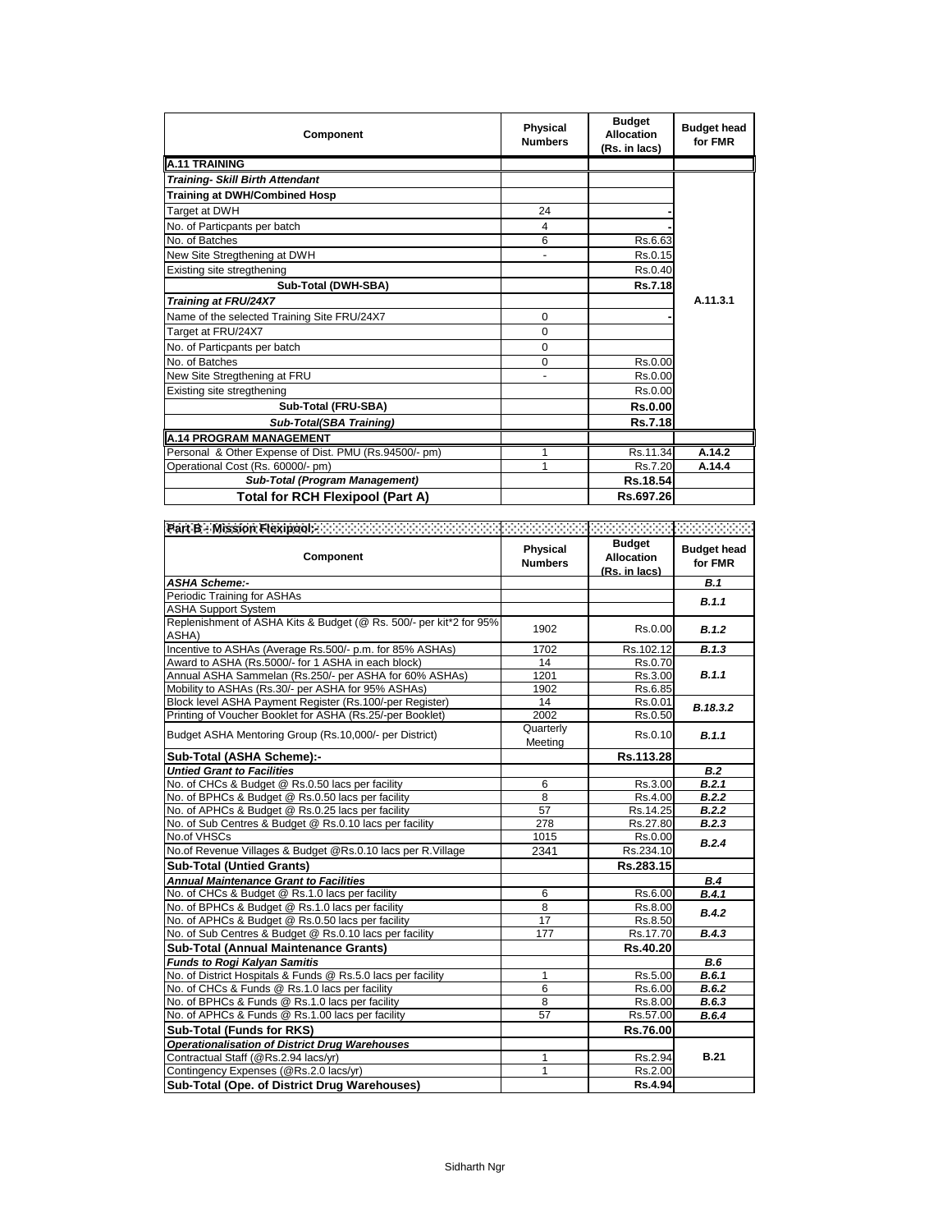| Component                                             | Physical<br><b>Numbers</b> | <b>Budget</b><br><b>Allocation</b><br>(Rs. in lacs) | <b>Budget head</b><br>for FMR |
|-------------------------------------------------------|----------------------------|-----------------------------------------------------|-------------------------------|
| <b>A.11 TRAINING</b>                                  |                            |                                                     |                               |
| <b>Training- Skill Birth Attendant</b>                |                            |                                                     |                               |
| <b>Training at DWH/Combined Hosp</b>                  |                            |                                                     |                               |
| Target at DWH                                         | 24                         |                                                     |                               |
| No. of Particpants per batch                          | 4                          |                                                     |                               |
| No. of Batches                                        | 6                          | Rs.6.63                                             |                               |
| New Site Stregthening at DWH                          |                            | Rs.0.15                                             |                               |
| Existing site stregthening                            |                            | Rs.0.40                                             |                               |
| Sub-Total (DWH-SBA)                                   |                            | Rs.7.18                                             |                               |
| Training at FRU/24X7                                  |                            |                                                     | A.11.3.1                      |
| Name of the selected Training Site FRU/24X7           | 0                          |                                                     |                               |
| Target at FRU/24X7                                    | 0                          |                                                     |                               |
| No. of Particpants per batch                          | 0                          |                                                     |                               |
| No. of Batches                                        | 0                          | Rs.0.00                                             |                               |
| New Site Stregthening at FRU                          |                            | Rs.0.00                                             |                               |
| Existing site stregthening                            |                            | Rs.0.00                                             |                               |
| Sub-Total (FRU-SBA)                                   |                            | <b>Rs.0.00</b>                                      |                               |
| Sub-Total(SBA Training)                               |                            | <b>Rs.7.18</b>                                      |                               |
| <b>A.14 PROGRAM MANAGEMENT</b>                        |                            |                                                     |                               |
| Personal & Other Expense of Dist. PMU (Rs.94500/- pm) |                            | Rs.11.34                                            | A.14.2                        |
| Operational Cost (Rs. 60000/- pm)                     |                            | Rs.7.20                                             | A.14.4                        |
| Sub-Total (Program Management)                        |                            | Rs.18.54                                            |                               |
| Total for RCH Flexipool (Part A)                      |                            | Rs.697.26                                           |                               |

| Part B - Mission Flexipool:                                        |                            |                                                     |                               |
|--------------------------------------------------------------------|----------------------------|-----------------------------------------------------|-------------------------------|
| Component                                                          | Physical<br><b>Numbers</b> | <b>Budget</b><br><b>Allocation</b><br>(Rs. in lacs) | <b>Budget head</b><br>for FMR |
| <b>ASHA Scheme:-</b>                                               |                            |                                                     | B.1                           |
| Periodic Training for ASHAs                                        |                            |                                                     | B.1.1                         |
| <b>ASHA Support System</b>                                         |                            |                                                     |                               |
| Replenishment of ASHA Kits & Budget (@ Rs. 500/- per kit*2 for 95% | 1902                       | Rs.0.00                                             | B.1.2                         |
| ASHA)                                                              |                            |                                                     |                               |
| Incentive to ASHAs (Average Rs.500/- p.m. for 85% ASHAs)           | 1702                       | Rs.102.12                                           | B.1.3                         |
| Award to ASHA (Rs.5000/- for 1 ASHA in each block)                 | 14                         | Rs.0.70                                             |                               |
| Annual ASHA Sammelan (Rs.250/- per ASHA for 60% ASHAs)             | 1201                       | Rs.3.00                                             | B.1.1                         |
| Mobility to ASHAs (Rs.30/- per ASHA for 95% ASHAs)                 | 1902                       | Rs.6.85                                             |                               |
| Block level ASHA Payment Register (Rs.100/-per Register)           | 14                         | Rs.0.01                                             | B.18.3.2                      |
| Printing of Voucher Booklet for ASHA (Rs.25/-per Booklet)          | 2002                       | Rs.0.50                                             |                               |
| Budget ASHA Mentoring Group (Rs.10,000/- per District)             | Quarterly                  | Rs.0.10                                             | B.1.1                         |
|                                                                    | Meeting                    |                                                     |                               |
| Sub-Total (ASHA Scheme):-                                          |                            | Rs.113.28                                           |                               |
| <b>Untied Grant to Facilities</b>                                  |                            |                                                     | B.2                           |
| No. of CHCs & Budget @ Rs.0.50 lacs per facility                   | 6                          | Rs.3.00                                             | B.2.1                         |
| No. of BPHCs & Budget @ Rs.0.50 lacs per facility                  | 8                          | Rs.4.00                                             | B.2.2                         |
| No. of APHCs & Budget @ Rs.0.25 lacs per facility                  | 57                         | Rs.14.25                                            | B.2.2                         |
| No. of Sub Centres & Budget @ Rs.0.10 lacs per facility            | 278                        | Rs.27.80                                            | B.2.3                         |
| No.of VHSCs                                                        | 1015                       | Rs.0.00                                             | B.2.4                         |
| No.of Revenue Villages & Budget @Rs.0.10 lacs per R.Village        | 2341                       | Rs.234.10                                           |                               |
| <b>Sub-Total (Untied Grants)</b>                                   |                            | Rs.283.15                                           |                               |
| <b>Annual Maintenance Grant to Facilities</b>                      |                            |                                                     | B.4                           |
| No. of CHCs & Budget @ Rs.1.0 lacs per facility                    | 6                          | Rs.6.00                                             | B.4.1                         |
| No. of BPHCs & Budget @ Rs.1.0 lacs per facility                   | 8                          | Rs.8.00                                             | B.4.2                         |
| No. of APHCs & Budget @ Rs.0.50 lacs per facility                  | 17                         | Rs.8.50                                             |                               |
| No. of Sub Centres & Budget @ Rs.0.10 lacs per facility            | 177                        | Rs.17.70                                            | B.4.3                         |
| <b>Sub-Total (Annual Maintenance Grants)</b>                       |                            | Rs.40.20                                            |                               |
| <b>Funds to Rogi Kalyan Samitis</b>                                |                            |                                                     | B.6                           |
| No. of District Hospitals & Funds @ Rs.5.0 lacs per facility       | $\mathbf{1}$               | Rs.5.00                                             | B.6.1                         |
| No. of CHCs & Funds @ Rs.1.0 lacs per facility                     | 6                          | Rs.6.00                                             | B.6.2                         |
| No. of BPHCs & Funds @ Rs.1.0 lacs per facility                    | 8                          | Rs.8.00                                             | B.6.3                         |
| No. of APHCs & Funds @ Rs.1.00 lacs per facility                   | 57                         | Rs.57.00                                            | B.6.4                         |
| Sub-Total (Funds for RKS)                                          |                            | Rs.76.00                                            |                               |
| <b>Operationalisation of District Drug Warehouses</b>              |                            |                                                     |                               |
| Contractual Staff (@Rs.2.94 lacs/yr)                               | 1                          | Rs.2.94                                             | <b>B.21</b>                   |
| Contingency Expenses (@Rs.2.0 lacs/yr)                             | 1                          | Rs.2.00                                             |                               |
| Sub-Total (Ope. of District Drug Warehouses)                       |                            | Rs.4.94                                             |                               |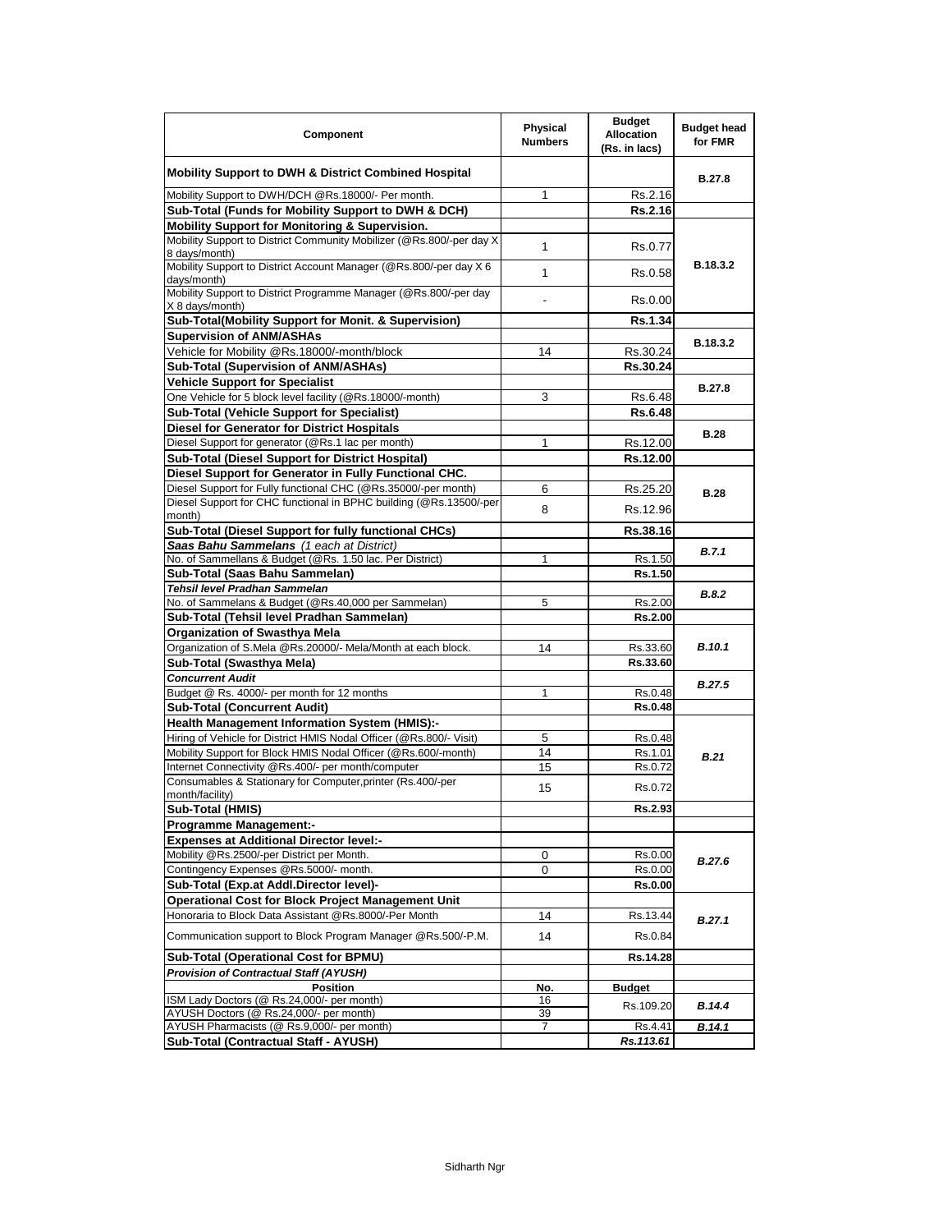| Component                                                                           | <b>Physical</b><br><b>Numbers</b> | <b>Budget</b><br><b>Allocation</b><br>(Rs. in lacs) | <b>Budget head</b><br>for FMR |  |
|-------------------------------------------------------------------------------------|-----------------------------------|-----------------------------------------------------|-------------------------------|--|
| Mobility Support to DWH & District Combined Hospital                                |                                   |                                                     | B.27.8                        |  |
| Mobility Support to DWH/DCH @Rs.18000/- Per month.                                  | 1                                 | Rs.2.16                                             |                               |  |
| Sub-Total (Funds for Mobility Support to DWH & DCH)                                 |                                   | Rs.2.16                                             |                               |  |
| Mobility Support for Monitoring & Supervision.                                      |                                   |                                                     |                               |  |
| Mobility Support to District Community Mobilizer (@Rs.800/-per day X)               | $\mathbf{1}$                      | Rs.0.77                                             |                               |  |
| 8 days/month)                                                                       |                                   |                                                     |                               |  |
| Mobility Support to District Account Manager (@Rs.800/-per day X 6<br>days/month)   | $\mathbf{1}$                      | Rs.0.58                                             | B.18.3.2                      |  |
| Mobility Support to District Programme Manager (@Rs.800/-per day<br>X 8 days/month) |                                   | Rs.0.00                                             |                               |  |
| Sub-Total(Mobility Support for Monit. & Supervision)                                |                                   | Rs.1.34                                             |                               |  |
| <b>Supervision of ANM/ASHAs</b>                                                     |                                   |                                                     | B.18.3.2                      |  |
| Vehicle for Mobility @Rs.18000/-month/block                                         | 14                                | Rs.30.24                                            |                               |  |
| Sub-Total (Supervision of ANM/ASHAs)                                                |                                   | Rs.30.24                                            |                               |  |
| <b>Vehicle Support for Specialist</b>                                               |                                   |                                                     |                               |  |
| One Vehicle for 5 block level facility (@Rs.18000/-month)                           | 3                                 | Rs.6.48                                             | <b>B.27.8</b>                 |  |
| Sub-Total (Vehicle Support for Specialist)                                          |                                   | Rs.6.48                                             |                               |  |
| <b>Diesel for Generator for District Hospitals</b>                                  |                                   |                                                     |                               |  |
| Diesel Support for generator (@Rs.1 lac per month)                                  | 1                                 | Rs.12.00                                            | <b>B.28</b>                   |  |
| Sub-Total (Diesel Support for District Hospital)                                    |                                   | Rs.12.00                                            |                               |  |
| Diesel Support for Generator in Fully Functional CHC.                               |                                   |                                                     |                               |  |
| Diesel Support for Fully functional CHC (@Rs.35000/-per month)                      | 6                                 | Rs.25.20                                            |                               |  |
| Diesel Support for CHC functional in BPHC building (@Rs.13500/-per                  |                                   |                                                     | <b>B.28</b>                   |  |
| month)                                                                              | 8                                 | Rs.12.96                                            |                               |  |
| Sub-Total (Diesel Support for fully functional CHCs)                                |                                   | Rs.38.16                                            |                               |  |
| Saas Bahu Sammelans (1 each at District)                                            |                                   |                                                     |                               |  |
| No. of Sammellans & Budget (@Rs. 1.50 lac. Per District)                            | 1                                 | Rs.1.50                                             | <b>B.7.1</b>                  |  |
| Sub-Total (Saas Bahu Sammelan)                                                      |                                   | Rs.1.50                                             |                               |  |
| Tehsil level Pradhan Sammelan                                                       |                                   |                                                     |                               |  |
| No. of Sammelans & Budget (@Rs.40,000 per Sammelan)                                 | 5                                 | Rs.2.00                                             | <b>B.8.2</b>                  |  |
| Sub-Total (Tehsil level Pradhan Sammelan)                                           |                                   | Rs.2.00                                             |                               |  |
| <b>Organization of Swasthya Mela</b>                                                |                                   |                                                     |                               |  |
| Organization of S.Mela @Rs.20000/- Mela/Month at each block.                        | 14                                | Rs.33.60                                            | <b>B.10.1</b>                 |  |
| Sub-Total (Swasthya Mela)                                                           |                                   | Rs.33.60                                            |                               |  |
| <b>Concurrent Audit</b>                                                             |                                   |                                                     |                               |  |
| Budget @ Rs. 4000/- per month for 12 months                                         | 1                                 | Rs.0.48                                             | <b>B.27.5</b>                 |  |
| <b>Sub-Total (Concurrent Audit)</b>                                                 |                                   | <b>Rs.0.48</b>                                      |                               |  |
| Health Management Information System (HMIS):-                                       |                                   |                                                     |                               |  |
| Hiring of Vehicle for District HMIS Nodal Officer (@Rs.800/- Visit)                 | 5                                 | Rs.0.48                                             |                               |  |
| Mobility Support for Block HMIS Nodal Officer (@Rs.600/-month)                      | 14                                | Rs.1.01                                             |                               |  |
| Internet Connectivity @Rs.400/- per month/computer                                  | 15                                | Rs.0.72                                             | B.21                          |  |
| Consumables & Stationary for Computer, printer (Rs.400/-per                         |                                   |                                                     |                               |  |
| month/facility)                                                                     | 15                                | Rs.0.72                                             |                               |  |
| Sub-Total (HMIS)                                                                    |                                   | Rs.2.93                                             |                               |  |
| <b>Programme Management:-</b>                                                       |                                   |                                                     |                               |  |
| <b>Expenses at Additional Director level:-</b>                                      |                                   |                                                     |                               |  |
| Mobility @Rs.2500/-per District per Month.                                          | 0                                 | Rs.0.00                                             |                               |  |
| Contingency Expenses @Rs.5000/- month.                                              | 0                                 | Rs.0.00                                             | B.27.6                        |  |
| Sub-Total (Exp.at Addl.Director level)-                                             |                                   | <b>Rs.0.00</b>                                      |                               |  |
| <b>Operational Cost for Block Project Management Unit</b>                           |                                   |                                                     |                               |  |
| Honoraria to Block Data Assistant @Rs.8000/-Per Month                               | 14                                | Rs.13.44                                            |                               |  |
| Communication support to Block Program Manager @Rs.500/-P.M.                        | 14                                | Rs.0.84                                             | B.27.1                        |  |
| Sub-Total (Operational Cost for BPMU)                                               |                                   | Rs.14.28                                            |                               |  |
| <b>Provision of Contractual Staff (AYUSH)</b>                                       |                                   |                                                     |                               |  |
| <b>Position</b>                                                                     | No.                               | <b>Budget</b>                                       |                               |  |
| ISM Lady Doctors (@ Rs.24,000/- per month)                                          | 16                                |                                                     |                               |  |
| AYUSH Doctors (@ Rs.24,000/- per month)                                             | 39                                | Rs.109.20                                           | B.14.4                        |  |
| AYUSH Pharmacists (@ Rs.9,000/- per month)                                          |                                   | Rs.4.41                                             | B.14.1                        |  |
| Sub-Total (Contractual Staff - AYUSH)                                               |                                   | Rs.113.61                                           |                               |  |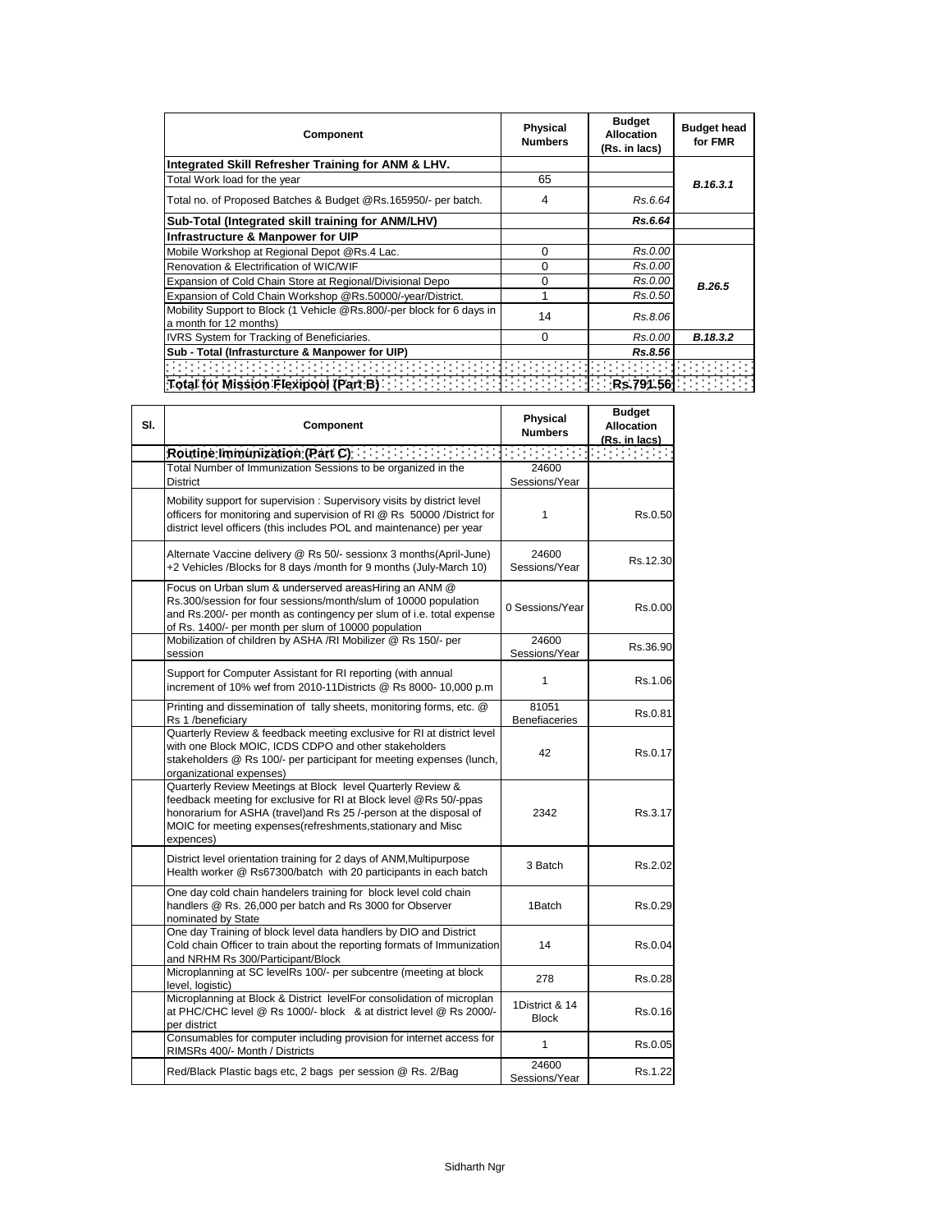| Component                                                                                       | <b>Physical</b><br><b>Numbers</b> | <b>Budget</b><br>Allocation<br>(Rs. in lacs) | <b>Budget head</b><br>for FMR |  |
|-------------------------------------------------------------------------------------------------|-----------------------------------|----------------------------------------------|-------------------------------|--|
| Integrated Skill Refresher Training for ANM & LHV.                                              |                                   |                                              |                               |  |
| Total Work load for the year                                                                    | 65                                |                                              | B.16.3.1                      |  |
| Total no. of Proposed Batches & Budget @Rs.165950/- per batch.                                  | 4                                 | Rs.6.64                                      |                               |  |
| Sub-Total (Integrated skill training for ANM/LHV)                                               |                                   | Rs.6.64                                      |                               |  |
| Infrastructure & Manpower for UIP                                                               |                                   |                                              |                               |  |
| Mobile Workshop at Regional Depot @Rs.4 Lac.                                                    | $\Omega$                          | Rs.0.00                                      |                               |  |
| Renovation & Electrification of WIC/WIF                                                         | $\Omega$                          | Rs.0.00                                      |                               |  |
| Expansion of Cold Chain Store at Regional/Divisional Depo                                       | $\Omega$                          | Rs.0.00                                      | <b>B.26.5</b>                 |  |
| Expansion of Cold Chain Workshop @Rs.50000/-year/District.                                      |                                   | Rs.0.50                                      |                               |  |
| Mobility Support to Block (1 Vehicle @Rs.800/-per block for 6 days in<br>a month for 12 months) | 14                                | Rs.8.06                                      |                               |  |
| IVRS System for Tracking of Beneficiaries.                                                      | $\Omega$                          | Rs.0.00                                      | B.18.3.2                      |  |
| Sub - Total (Infrasturcture & Manpower for UIP)                                                 |                                   | Rs.8.56                                      |                               |  |
| didigibile e que es espectado e estado                                                          |                                   |                                              |                               |  |
| Total for Mission Flexipool (Part B)                                                            |                                   | Rs.791.56                                    |                               |  |

| SI. | Component                                                                                                                                                                                                                                                                           | Physical<br><b>Numbers</b>     | <b>Budget</b><br><b>Allocation</b><br>(Rs. in lacs) |
|-----|-------------------------------------------------------------------------------------------------------------------------------------------------------------------------------------------------------------------------------------------------------------------------------------|--------------------------------|-----------------------------------------------------|
|     | Routine Immunization (Part C)                                                                                                                                                                                                                                                       |                                |                                                     |
|     | Total Number of Immunization Sessions to be organized in the<br><b>District</b>                                                                                                                                                                                                     | 24600<br>Sessions/Year         |                                                     |
|     | Mobility support for supervision: Supervisory visits by district level<br>officers for monitoring and supervision of RI @ Rs 50000 /District for<br>district level officers (this includes POL and maintenance) per year                                                            | 1                              | Rs.0.50                                             |
|     | Alternate Vaccine delivery @ Rs 50/- sessionx 3 months(April-June)<br>+2 Vehicles /Blocks for 8 days /month for 9 months (July-March 10)                                                                                                                                            | 24600<br>Sessions/Year         | Rs.12.30                                            |
|     | Focus on Urban slum & underserved areasHiring an ANM @<br>Rs.300/session for four sessions/month/slum of 10000 population<br>and Rs.200/- per month as contingency per slum of i.e. total expense<br>of Rs. 1400/- per month per slum of 10000 population                           | 0 Sessions/Year                | Rs.0.00                                             |
|     | Mobilization of children by ASHA /RI Mobilizer @ Rs 150/- per<br>session                                                                                                                                                                                                            | 24600<br>Sessions/Year         | Rs.36.90                                            |
|     | Support for Computer Assistant for RI reporting (with annual<br>increment of 10% wef from 2010-11Districts @ Rs 8000- 10,000 p.m                                                                                                                                                    | 1                              | Rs.1.06                                             |
|     | Printing and dissemination of tally sheets, monitoring forms, etc. @<br>Rs 1 /beneficiary                                                                                                                                                                                           | 81051<br><b>Benefiaceries</b>  | Rs.0.81                                             |
|     | Quarterly Review & feedback meeting exclusive for RI at district level<br>with one Block MOIC, ICDS CDPO and other stakeholders<br>stakeholders @ Rs 100/- per participant for meeting expenses (lunch,<br>organizational expenses)                                                 | 42                             | Rs.0.17                                             |
|     | Quarterly Review Meetings at Block level Quarterly Review &<br>feedback meeting for exclusive for RI at Block level @Rs 50/-ppas<br>honorarium for ASHA (travel) and Rs 25 /-person at the disposal of<br>MOIC for meeting expenses (refreshments, stationary and Misc<br>expences) | 2342                           | Rs.3.17                                             |
|     | District level orientation training for 2 days of ANM, Multipurpose<br>Health worker @ Rs67300/batch with 20 participants in each batch                                                                                                                                             | 3 Batch                        | Rs.2.02                                             |
|     | One day cold chain handelers training for block level cold chain<br>handlers @ Rs. 26,000 per batch and Rs 3000 for Observer<br>nominated by State                                                                                                                                  | 1Batch                         | Rs.0.29                                             |
|     | One day Training of block level data handlers by DIO and District<br>Cold chain Officer to train about the reporting formats of Immunization<br>and NRHM Rs 300/Participant/Block                                                                                                   | 14                             | Rs.0.04                                             |
|     | Microplanning at SC levelRs 100/- per subcentre (meeting at block<br>level, logistic)                                                                                                                                                                                               | 278                            | Rs.0.28                                             |
|     | Microplanning at Block & District levelFor consolidation of microplan<br>at PHC/CHC level @ Rs 1000/- block & at district level @ Rs 2000/-<br>per district                                                                                                                         | 1District & 14<br><b>Block</b> | Rs.0.16                                             |
|     | Consumables for computer including provision for internet access for<br>RIMSRs 400/- Month / Districts                                                                                                                                                                              | 1                              | Rs.0.05                                             |
|     | Red/Black Plastic bags etc, 2 bags per session @ Rs. 2/Bag                                                                                                                                                                                                                          | 24600<br>Sessions/Year         | Rs.1.22                                             |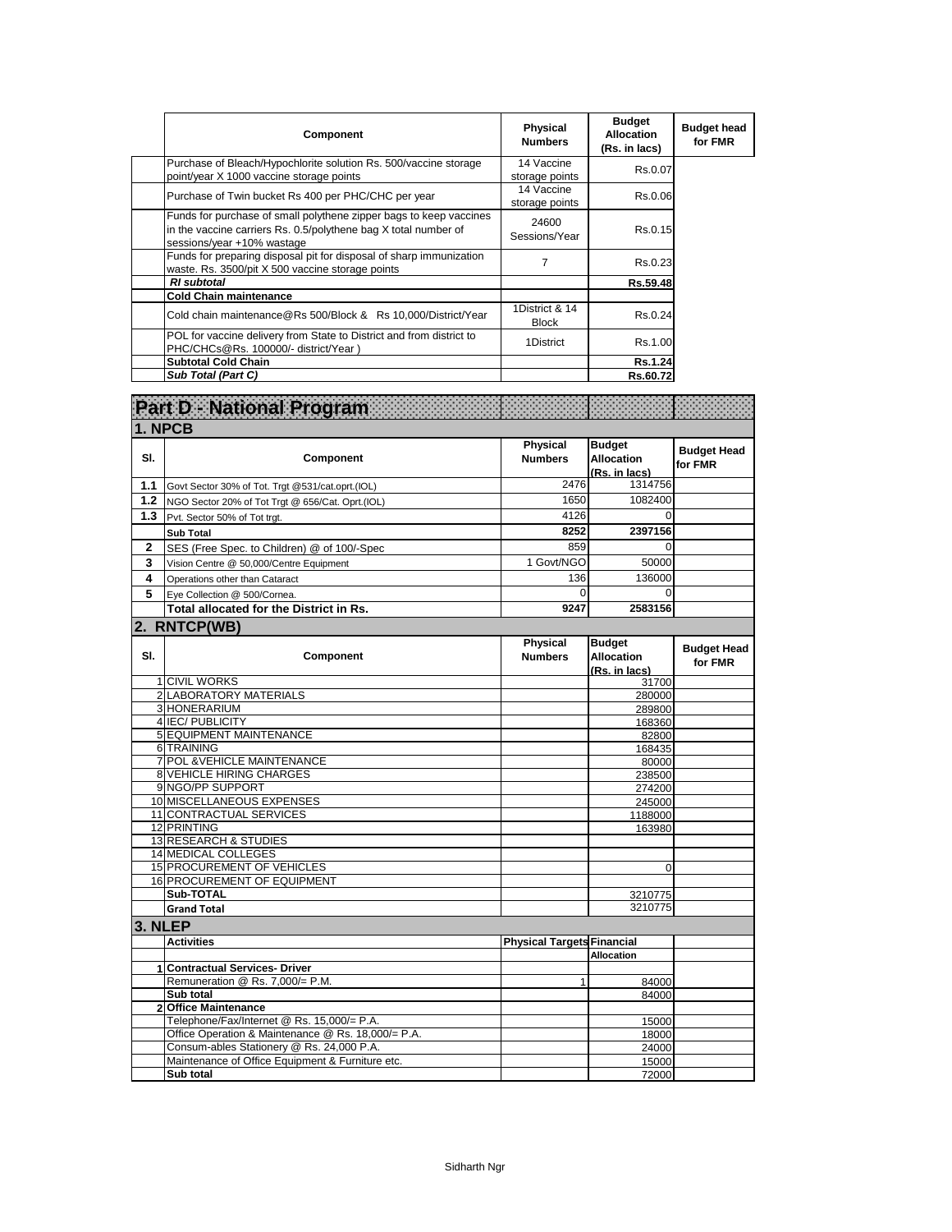| Component                                                                                                                                                           | Physical<br><b>Numbers</b>     | <b>Budget</b><br><b>Allocation</b><br>(Rs. in lacs) | <b>Budget head</b><br>for FMR |
|---------------------------------------------------------------------------------------------------------------------------------------------------------------------|--------------------------------|-----------------------------------------------------|-------------------------------|
| Purchase of Bleach/Hypochlorite solution Rs. 500/vaccine storage<br>point/year X 1000 vaccine storage points                                                        | 14 Vaccine<br>storage points   | Rs.0.07                                             |                               |
| Purchase of Twin bucket Rs 400 per PHC/CHC per year                                                                                                                 | 14 Vaccine<br>storage points   | Rs.0.06                                             |                               |
| Funds for purchase of small polythene zipper bags to keep vaccines<br>in the vaccine carriers Rs. 0.5/polythene bag X total number of<br>sessions/year +10% wastage | 24600<br>Sessions/Year         | Rs.0.15                                             |                               |
| Funds for preparing disposal pit for disposal of sharp immunization<br>waste. Rs. 3500/pit X 500 vaccine storage points                                             | 7                              | Rs.0.23                                             |                               |
| <b>RI</b> subtotal                                                                                                                                                  |                                | Rs.59.48                                            |                               |
| <b>Cold Chain maintenance</b>                                                                                                                                       |                                |                                                     |                               |
| Cold chain maintenance@Rs 500/Block & Rs 10,000/District/Year                                                                                                       | 1District & 14<br><b>Block</b> | Rs.0.24                                             |                               |
| POL for vaccine delivery from State to District and from district to<br>PHC/CHCs@Rs. 100000/- district/Year)                                                        | 1District                      | Rs.1.00                                             |                               |
| <b>Subtotal Cold Chain</b>                                                                                                                                          |                                | Rs.1.24                                             |                               |
| Sub Total (Part C)                                                                                                                                                  |                                | Rs.60.72                                            |                               |

|                | Part D - National Program                           |                                   |                                                     |                               |
|----------------|-----------------------------------------------------|-----------------------------------|-----------------------------------------------------|-------------------------------|
| 1. NPCB        |                                                     |                                   |                                                     |                               |
| SI.            | Component                                           | <b>Physical</b><br><b>Numbers</b> | <b>Budget</b><br><b>Allocation</b><br>(Rs. in lacs) | <b>Budget Head</b><br>for FMR |
| 1.1            | Govt Sector 30% of Tot. Trgt @531/cat.oprt.(IOL)    | 2476                              | 1314756                                             |                               |
| 1.2            | NGO Sector 20% of Tot Trgt @ 656/Cat. Oprt.(IOL)    | 1650                              | 1082400                                             |                               |
| 1.3            | Pvt. Sector 50% of Tot trgt.                        | 4126                              | $\mathbf 0$                                         |                               |
|                | <b>Sub Total</b>                                    | 8252                              | 2397156                                             |                               |
| $\overline{2}$ | SES (Free Spec. to Children) @ of 100/-Spec         | 859                               | $\Omega$                                            |                               |
| 3              | Vision Centre @ 50,000/Centre Equipment             | 1 Govt/NGO                        | 50000                                               |                               |
| 4              | Operations other than Cataract                      | 136                               | 136000                                              |                               |
| 5              |                                                     | $\Omega$                          | $\Omega$                                            |                               |
|                | Eye Collection @ 500/Cornea.                        |                                   |                                                     |                               |
|                | Total allocated for the District in Rs.             | 9247                              | 2583156                                             |                               |
|                | 2. RNTCP(WB)                                        |                                   |                                                     |                               |
| SI.            | <b>Component</b>                                    | Physical<br><b>Numbers</b>        | <b>Budget</b><br><b>Allocation</b><br>(Rs. in lacs) | <b>Budget Head</b><br>for FMR |
|                | 1 CIVIL WORKS                                       |                                   | 31700                                               |                               |
|                | 2 LABORATORY MATERIALS                              |                                   | 280000                                              |                               |
|                | 3 HONERARIUM                                        |                                   | 289800                                              |                               |
|                | 4 IEC/ PUBLICITY                                    |                                   | 168360                                              |                               |
|                | <b>5 EQUIPMENT MAINTENANCE</b>                      |                                   | 82800                                               |                               |
|                | 6 TRAINING                                          |                                   | 168435                                              |                               |
|                | 7 POL & VEHICLE MAINTENANCE                         |                                   | 80000                                               |                               |
|                | <b>8 VEHICLE HIRING CHARGES</b><br>9 NGO/PP SUPPORT |                                   | 238500                                              |                               |
|                | 10 MISCELLANEOUS EXPENSES                           |                                   | 274200                                              |                               |
|                | 11 CONTRACTUAL SERVICES                             |                                   | 245000                                              |                               |
|                | 12 PRINTING                                         |                                   | 1188000<br>163980                                   |                               |
|                | 13 RESEARCH & STUDIES                               |                                   |                                                     |                               |
|                | 14 MEDICAL COLLEGES                                 |                                   |                                                     |                               |
|                | 15 PROCUREMENT OF VEHICLES                          |                                   | $\mathbf 0$                                         |                               |
|                | <b>16 PROCUREMENT OF EQUIPMENT</b>                  |                                   |                                                     |                               |
|                | Sub-TOTAL                                           |                                   | 3210775                                             |                               |
|                | <b>Grand Total</b>                                  |                                   | 3210775                                             |                               |
| 3. NLEP        |                                                     |                                   |                                                     |                               |
|                | <b>Activities</b>                                   | <b>Physical Targets Financial</b> |                                                     |                               |
|                |                                                     |                                   | <b>Allocation</b>                                   |                               |
|                | 1 Contractual Services- Driver                      |                                   |                                                     |                               |
|                | Remuneration @ Rs. 7,000/= P.M.                     | $\mathbf{1}$                      | 84000                                               |                               |
|                | Sub total                                           |                                   | 84000                                               |                               |
|                | 2 Office Maintenance                                |                                   |                                                     |                               |
|                | Telephone/Fax/Internet @ Rs. 15,000/= P.A.          |                                   | 15000                                               |                               |
|                | Office Operation & Maintenance @ Rs. 18,000/= P.A.  |                                   | 18000                                               |                               |
|                | Consum-ables Stationery @ Rs. 24,000 P.A.           |                                   | 24000                                               |                               |
|                | Maintenance of Office Equipment & Furniture etc.    |                                   | 15000                                               |                               |
|                | Sub total                                           |                                   | 72000                                               |                               |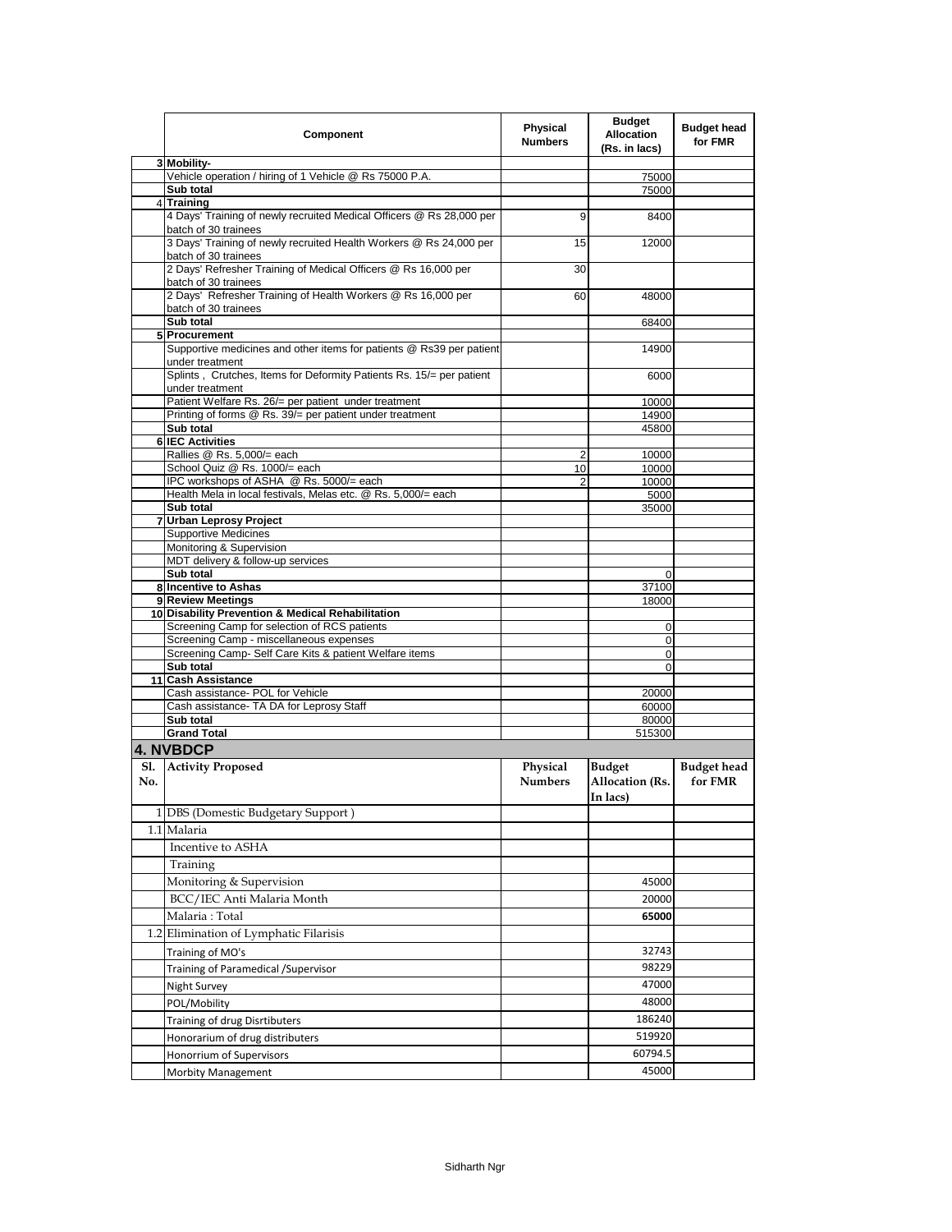|            | Component                                                                                                | <b>Physical</b><br><b>Numbers</b> | <b>Budget</b><br><b>Allocation</b><br>(Rs. in lacs) | <b>Budget head</b><br>for FMR |
|------------|----------------------------------------------------------------------------------------------------------|-----------------------------------|-----------------------------------------------------|-------------------------------|
|            | 3 Mobility-                                                                                              |                                   |                                                     |                               |
|            | Vehicle operation / hiring of 1 Vehicle @ Rs 75000 P.A.<br>Sub total                                     |                                   | 75000<br>75000                                      |                               |
|            | 4 Training                                                                                               |                                   |                                                     |                               |
|            | 4 Days' Training of newly recruited Medical Officers @ Rs 28,000 per<br>batch of 30 trainees             | 9                                 | 8400                                                |                               |
|            | 3 Days' Training of newly recruited Health Workers @ Rs 24,000 per<br>batch of 30 trainees               | 15                                | 12000                                               |                               |
|            | 2 Days' Refresher Training of Medical Officers @ Rs 16,000 per<br>batch of 30 trainees                   | 30                                |                                                     |                               |
|            | 2 Days' Refresher Training of Health Workers @ Rs 16,000 per<br>batch of 30 trainees                     | 60                                | 48000                                               |                               |
|            | Sub total                                                                                                |                                   | 68400                                               |                               |
|            | 5 Procurement<br>Supportive medicines and other items for patients @ Rs39 per patient<br>under treatment |                                   | 14900                                               |                               |
|            | Splints, Crutches, Items for Deformity Patients Rs. 15/= per patient<br>under treatment                  |                                   | 6000                                                |                               |
|            | Patient Welfare Rs. 26/= per patient under treatment                                                     |                                   | 10000                                               |                               |
|            | Printing of forms @ Rs. 39/= per patient under treatment<br>Sub total                                    |                                   | 14900                                               |                               |
|            | <b>6 IEC Activities</b>                                                                                  |                                   | 45800                                               |                               |
|            | Rallies @ Rs. 5,000/= each                                                                               | 2                                 | 10000                                               |                               |
|            | School Quiz @ Rs. 1000/= each                                                                            | 10                                | 10000                                               |                               |
|            | IPC workshops of ASHA @ Rs. 5000/= each<br>Health Mela in local festivals, Melas etc. @ Rs. 5,000/= each | 2                                 | 10000                                               |                               |
|            | Sub total                                                                                                |                                   | 5000<br>35000                                       |                               |
|            | 7 Urban Leprosy Project                                                                                  |                                   |                                                     |                               |
|            | <b>Supportive Medicines</b>                                                                              |                                   |                                                     |                               |
|            | Monitoring & Supervision                                                                                 |                                   |                                                     |                               |
|            | MDT delivery & follow-up services<br>Sub total                                                           |                                   | $\Omega$                                            |                               |
|            | 8 Incentive to Ashas                                                                                     |                                   | 37100                                               |                               |
|            | 9 Review Meetings                                                                                        |                                   | 18000                                               |                               |
|            | 10 Disability Prevention & Medical Rehabilitation                                                        |                                   |                                                     |                               |
|            | Screening Camp for selection of RCS patients                                                             |                                   | 0                                                   |                               |
|            | Screening Camp - miscellaneous expenses                                                                  |                                   | 0                                                   |                               |
|            | Screening Camp- Self Care Kits & patient Welfare items<br>Sub total                                      |                                   | 0<br>$\Omega$                                       |                               |
|            | 11 Cash Assistance                                                                                       |                                   |                                                     |                               |
|            | Cash assistance- POL for Vehicle                                                                         |                                   | 20000                                               |                               |
|            | Cash assistance- TA DA for Leprosy Staff                                                                 |                                   | 60000                                               |                               |
|            | Sub total                                                                                                |                                   | 80000                                               |                               |
|            | <b>Grand Total</b>                                                                                       |                                   | 515300                                              |                               |
|            | <b>4. NVBDCP</b>                                                                                         |                                   |                                                     |                               |
| Sl.<br>No. | <b>Activity Proposed</b>                                                                                 | Physical<br><b>Numbers</b>        | <b>Budget</b><br>Allocation (Rs.<br>In lacs)        | <b>Budget head</b><br>for FMR |
|            | 1 DBS (Domestic Budgetary Support)                                                                       |                                   |                                                     |                               |
|            | 1.1 Malaria                                                                                              |                                   |                                                     |                               |
|            | Incentive to ASHA                                                                                        |                                   |                                                     |                               |
|            | Training                                                                                                 |                                   |                                                     |                               |
|            | Monitoring & Supervision                                                                                 |                                   | 45000                                               |                               |
|            | BCC/IEC Anti Malaria Month                                                                               |                                   | 20000                                               |                               |
|            | Malaria : Total                                                                                          |                                   | 65000                                               |                               |
|            | 1.2 Elimination of Lymphatic Filarisis                                                                   |                                   |                                                     |                               |
|            | Training of MO's                                                                                         |                                   | 32743                                               |                               |
|            | Training of Paramedical /Supervisor                                                                      |                                   | 98229                                               |                               |
|            | Night Survey                                                                                             |                                   | 47000                                               |                               |
|            | POL/Mobility                                                                                             |                                   | 48000                                               |                               |
|            |                                                                                                          |                                   | 186240                                              |                               |
|            | Training of drug Disrtibuters                                                                            |                                   | 519920                                              |                               |
|            | Honorarium of drug distributers                                                                          |                                   | 60794.5                                             |                               |
|            | Honorrium of Supervisors                                                                                 |                                   | 45000                                               |                               |
|            | <b>Morbity Management</b>                                                                                |                                   |                                                     |                               |